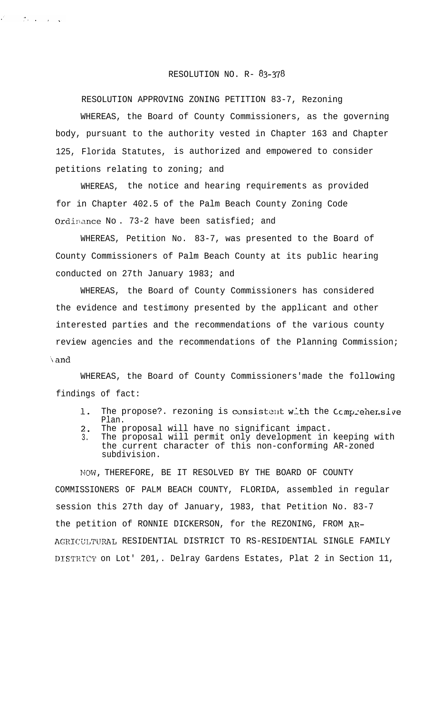## RESOLUTION NO. R- 83-378

RESOLUTION APPROVING ZONING PETITION 83-7, Rezoning

 $\sim$  200 km s  $\sim$  300 km

WHEREAS, the Board of County Commissioners, as the governing body, pursuant to the authority vested in Chapter 163 and Chapter 125, Florida Statutes, is authorized and empowered to consider petitions relating to zoning; and

WHEREAS, the notice and hearing requirements as provided for in Chapter 402.5 of the Palm Beach County Zoning Code Ordinance No. 73-2 have been satisfied; and

WHEREAS, Petition No. 83-7, was presented to the Board of County Commissioners of Palm Beach County at its public hearing conducted on 27th January 1983; and

WHEREAS, the Board of County Commissioners has considered the evidence and testimony presented by the applicant and other interested parties and the recommendations of the various county review agencies and the recommendations of the Planning Commission; 'iand

WHEREAS, the Board of County Commissioners'made the following findings of fact:

- 1. The propose?. rezoning is consistent with the Comprehensive Plan.
- 2. The proposal will have no significant impact.
- 3. The proposal will permit only development in keeping with the current character of this non-conforming AR-zoned subdivision.

NOW, THEREFORE, BE IT RESOLVED BY THE BOARD OF COUNTY COMMISSIONERS OF PALM BEACH COUNTY, FLORIDA, assembled in regular session this 27th day of January, 1983, that Petition No. 83-7 the petition of RONNIE DICKERSON, for the REZONING, FROM AR-AGRICULTURAL RESIDENTIAL DISTRICT TO RS-RESIDENTIAL SINGLE FAMILY DISTRICT on Lot' 201,. Delray Gardens Estates, Plat 2 in Section 11,